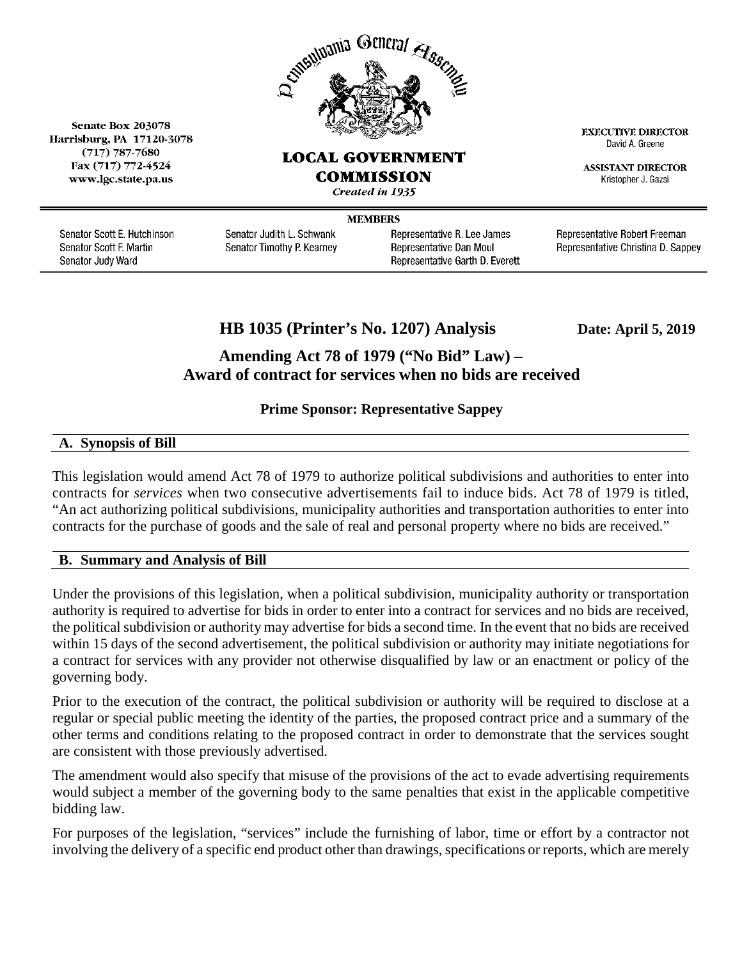

## **LOCAL GOVERNMENT**

Fax (717) 772-4524 www.lgc.state.pa.us

Senate Box 203078

Harrisburg, PA 17120-3078

 $(717)$  787-7680

COMMISSION

Created in 1935

**MEMBERS** 

Senator Scott E. Hutchinson Senator Scott F. Martin Senator Judy Ward

Senator Judith L. Schwank Senator Timothy P. Kearney Representative R. Lee James Representative Dan Moul Representative Garth D. Everett Representative Robert Freeman Representative Christina D. Sappey

**EXECUTIVE DIRECTOR** 

David A. Greene

**ASSISTANT DIRECTOR** 

Kristopher J. Gazsi

**HB 1035 (Printer's No. 1207) Analysis Date: April 5, 2019**

# **Amending Act 78 of 1979 ("No Bid" Law) – Award of contract for services when no bids are received**

## **Prime Sponsor: Representative Sappey**

## **A. Synopsis of Bill**

This legislation would amend Act 78 of 1979 to authorize political subdivisions and authorities to enter into contracts for *services* when two consecutive advertisements fail to induce bids. Act 78 of 1979 is titled, "An act authorizing political subdivisions, municipality authorities and transportation authorities to enter into contracts for the purchase of goods and the sale of real and personal property where no bids are received."

### **B. Summary and Analysis of Bill**

Under the provisions of this legislation, when a political subdivision, municipality authority or transportation authority is required to advertise for bids in order to enter into a contract for services and no bids are received, the political subdivision or authority may advertise for bids a second time. In the event that no bids are received within 15 days of the second advertisement, the political subdivision or authority may initiate negotiations for a contract for services with any provider not otherwise disqualified by law or an enactment or policy of the governing body.

Prior to the execution of the contract, the political subdivision or authority will be required to disclose at a regular or special public meeting the identity of the parties, the proposed contract price and a summary of the other terms and conditions relating to the proposed contract in order to demonstrate that the services sought are consistent with those previously advertised.

The amendment would also specify that misuse of the provisions of the act to evade advertising requirements would subject a member of the governing body to the same penalties that exist in the applicable competitive bidding law.

For purposes of the legislation, "services" include the furnishing of labor, time or effort by a contractor not involving the delivery of a specific end product other than drawings, specifications or reports, which are merely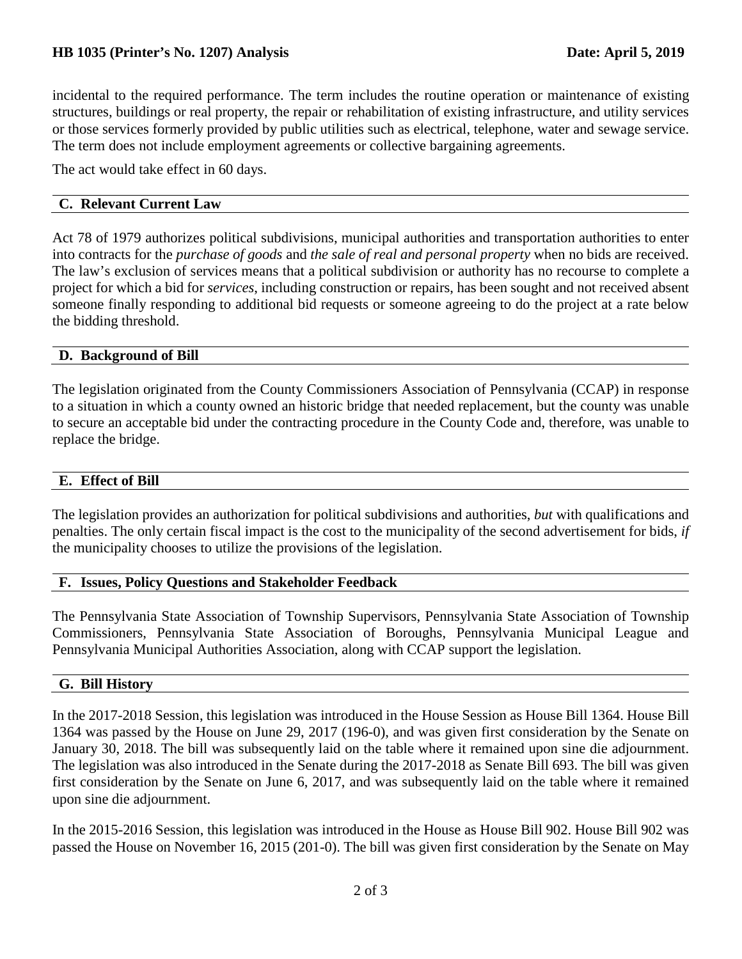## **HB 1035 (Printer's No. 1207) Analysis Date: April 5, 2019**

incidental to the required performance. The term includes the routine operation or maintenance of existing structures, buildings or real property, the repair or rehabilitation of existing infrastructure, and utility services or those services formerly provided by public utilities such as electrical, telephone, water and sewage service. The term does not include employment agreements or collective bargaining agreements.

The act would take effect in 60 days.

## **C. Relevant Current Law**

Act 78 of 1979 authorizes political subdivisions, municipal authorities and transportation authorities to enter into contracts for the *purchase of goods* and *the sale of real and personal property* when no bids are received. The law's exclusion of services means that a political subdivision or authority has no recourse to complete a project for which a bid for *services*, including construction or repairs, has been sought and not received absent someone finally responding to additional bid requests or someone agreeing to do the project at a rate below the bidding threshold.

### **D. Background of Bill**

The legislation originated from the County Commissioners Association of Pennsylvania (CCAP) in response to a situation in which a county owned an historic bridge that needed replacement, but the county was unable to secure an acceptable bid under the contracting procedure in the County Code and, therefore, was unable to replace the bridge.

### **E. Effect of Bill**

The legislation provides an authorization for political subdivisions and authorities, *but* with qualifications and penalties. The only certain fiscal impact is the cost to the municipality of the second advertisement for bids, *if* the municipality chooses to utilize the provisions of the legislation.

### **F. Issues, Policy Questions and Stakeholder Feedback**

The Pennsylvania State Association of Township Supervisors, Pennsylvania State Association of Township Commissioners, Pennsylvania State Association of Boroughs, Pennsylvania Municipal League and Pennsylvania Municipal Authorities Association, along with CCAP support the legislation.

### **G. Bill History**

In the 2017-2018 Session, this legislation was introduced in the House Session as House Bill 1364. House Bill 1364 was passed by the House on June 29, 2017 (196-0), and was given first consideration by the Senate on January 30, 2018. The bill was subsequently laid on the table where it remained upon sine die adjournment. The legislation was also introduced in the Senate during the 2017-2018 as Senate Bill 693. The bill was given first consideration by the Senate on June 6, 2017, and was subsequently laid on the table where it remained upon sine die adjournment.

In the 2015-2016 Session, this legislation was introduced in the House as House Bill 902. House Bill 902 was passed the House on November 16, 2015 (201-0). The bill was given first consideration by the Senate on May